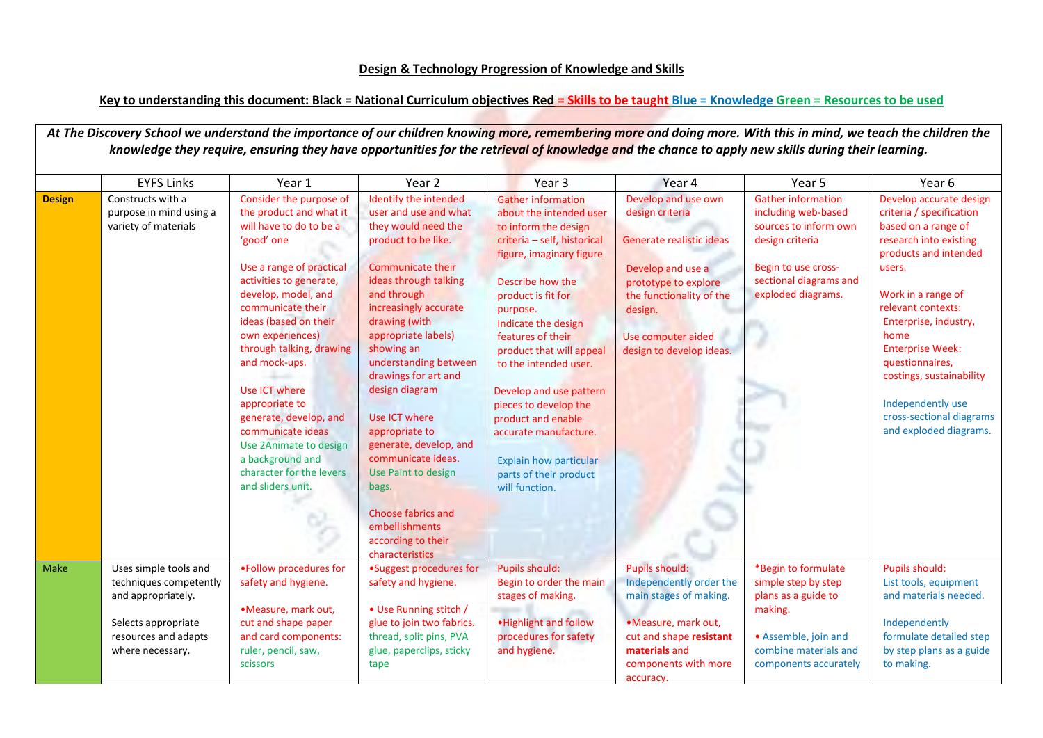## **Key to understanding this document: Black = National Curriculum objectives Red = Skills to be taught Blue = Knowledge Green = Resources to be used**

|               | <b>EYFS Links</b>                                                                                                                        | Year 1                                                                                                                                                                                                                                                                                                                                                                                                                                                                    | Year 2                                                                                                                                                                                                                                                                                                                                                                                                                                                                                                                        | Year 3                                                                                                                                                                                                                                                                                                                                                                                                                                                                         | Year 4                                                                                                                                                                                                   | Year 5                                                                                                                                                              | Year 6                                                                                                                                                                                                                                                                                                                                                                    |
|---------------|------------------------------------------------------------------------------------------------------------------------------------------|---------------------------------------------------------------------------------------------------------------------------------------------------------------------------------------------------------------------------------------------------------------------------------------------------------------------------------------------------------------------------------------------------------------------------------------------------------------------------|-------------------------------------------------------------------------------------------------------------------------------------------------------------------------------------------------------------------------------------------------------------------------------------------------------------------------------------------------------------------------------------------------------------------------------------------------------------------------------------------------------------------------------|--------------------------------------------------------------------------------------------------------------------------------------------------------------------------------------------------------------------------------------------------------------------------------------------------------------------------------------------------------------------------------------------------------------------------------------------------------------------------------|----------------------------------------------------------------------------------------------------------------------------------------------------------------------------------------------------------|---------------------------------------------------------------------------------------------------------------------------------------------------------------------|---------------------------------------------------------------------------------------------------------------------------------------------------------------------------------------------------------------------------------------------------------------------------------------------------------------------------------------------------------------------------|
| <b>Design</b> | Constructs with a<br>purpose in mind using a<br>variety of materials                                                                     | Consider the purpose of<br>the product and what it<br>will have to do to be a<br>'good' one<br>Use a range of practical<br>activities to generate,<br>develop, model, and<br>communicate their<br>ideas (based on their<br>own experiences)<br>through talking, drawing<br>and mock-ups.<br>Use ICT where<br>appropriate to<br>generate, develop, and<br>communicate ideas<br>Use 2Animate to design<br>a background and<br>character for the levers<br>and sliders unit. | Identify the intended<br>user and use and what<br>they would need the<br>product to be like.<br><b>Communicate their</b><br>ideas through talking<br>and through<br>increasingly accurate<br>drawing (with<br>appropriate labels)<br>showing an<br>understanding between<br>drawings for art and<br>design diagram<br>Use ICT where<br>appropriate to<br>generate, develop, and<br>communicate ideas.<br>Use Paint to design<br>bags.<br><b>Choose fabrics and</b><br>embellishments<br>according to their<br>characteristics | <b>Gather information</b><br>about the intended user<br>to inform the design<br>criteria - self, historical<br>figure, imaginary figure<br>Describe how the<br>product is fit for<br>purpose.<br>Indicate the design<br>features of their<br>product that will appeal<br>to the intended user.<br>Develop and use pattern<br>pieces to develop the<br>product and enable<br>accurate manufacture.<br><b>Explain how particular</b><br>parts of their product<br>will function. | Develop and use own<br>design criteria<br>Generate realistic ideas<br>Develop and use a<br>prototype to explore<br>the functionality of the<br>design.<br>Use computer aided<br>design to develop ideas. | <b>Gather information</b><br>including web-based<br>sources to inform own<br>design criteria<br>Begin to use cross-<br>sectional diagrams and<br>exploded diagrams. | Develop accurate design<br>criteria / specification<br>based on a range of<br>research into existing<br>products and intended<br>users.<br>Work in a range of<br>relevant contexts:<br>Enterprise, industry,<br>home<br><b>Enterprise Week:</b><br>questionnaires,<br>costings, sustainability<br>Independently use<br>cross-sectional diagrams<br>and exploded diagrams. |
| Make          | Uses simple tools and<br>techniques competently<br>and appropriately.<br>Selects appropriate<br>resources and adapts<br>where necessary. | . Follow procedures for<br>safety and hygiene.<br>•Measure, mark out,<br>cut and shape paper<br>and card components:<br>ruler, pencil, saw,<br>scissors                                                                                                                                                                                                                                                                                                                   | •Suggest procedures for<br>safety and hygiene.<br>• Use Running stitch /<br>glue to join two fabrics.<br>thread, split pins, PVA<br>glue, paperclips, sticky<br>tape                                                                                                                                                                                                                                                                                                                                                          | Pupils should:<br>Begin to order the main<br>stages of making.<br>. Highlight and follow<br>procedures for safety<br>and hygiene.                                                                                                                                                                                                                                                                                                                                              | <b>Pupils should:</b><br>Independently order the<br>main stages of making.<br>•Measure, mark out,<br>cut and shape resistant<br>materials and<br>components with more<br>accuracy.                       | *Begin to formulate<br>simple step by step<br>plans as a guide to<br>making.<br>• Assemble, join and<br>combine materials and<br>components accurately              | Pupils should:<br>List tools, equipment<br>and materials needed.<br>Independently<br>formulate detailed step<br>by step plans as a guide<br>to making.                                                                                                                                                                                                                    |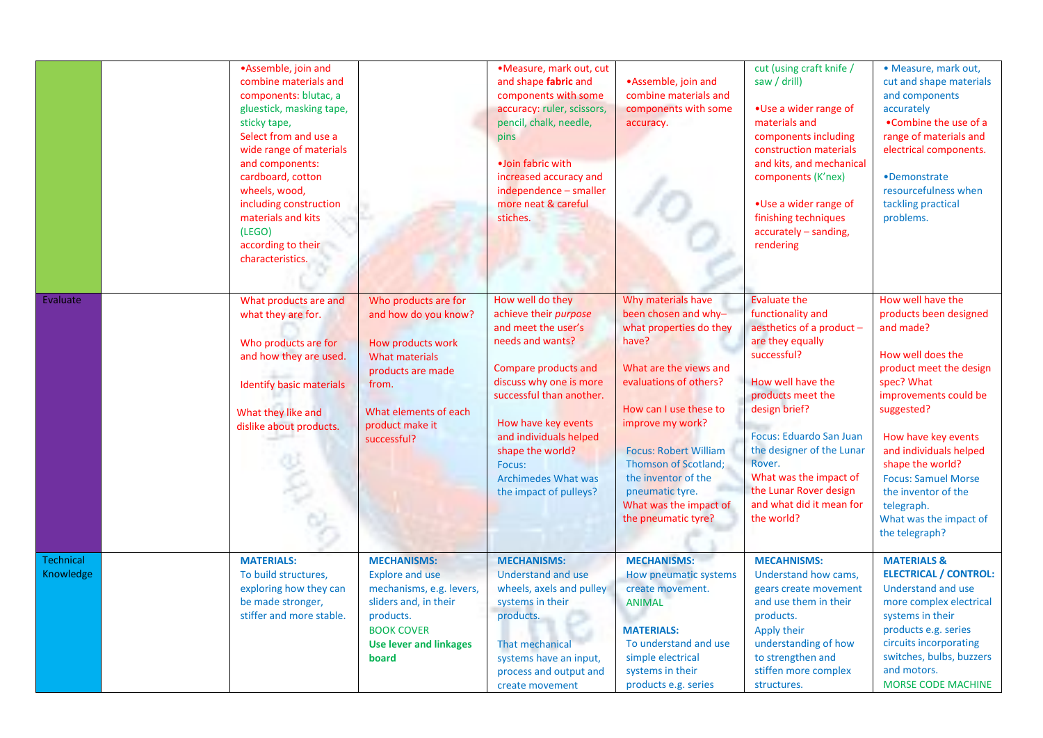|                               | •Assemble, join and<br>combine materials and<br>components: blutac, a<br>gluestick, masking tape,<br>sticky tape,<br>Select from and use a<br>wide range of materials<br>and components:<br>cardboard, cotton<br>wheels, wood,<br>including construction<br>materials and kits<br>(LEGO) |                                                                                                                                                                                     | ·Measure, mark out, cut<br>and shape fabric and<br>components with some<br>accuracy: ruler, scissors,<br>pencil, chalk, needle,<br>pins<br>·Join fabric with<br>increased accuracy and<br>independence - smaller<br>more neat & careful<br>stiches.                                                        | •Assemble, join and<br>combine materials and<br>components with some<br>accuracy.                                                                                                                                                                                                                                                          | cut (using craft knife /<br>saw / drill)<br>• Use a wider range of<br>materials and<br>components including<br>construction materials<br>and kits, and mechanical<br>components (K'nex)<br>. Use a wider range of<br>finishing techniques<br>accurately - sanding,                                                                         | · Measure, mark out,<br>cut and shape materials<br>and components<br>accurately<br>•Combine the use of a<br>range of materials and<br>electrical components.<br>•Demonstrate<br>resourcefulness when<br>tackling practical<br>problems.                                                                                                           |
|-------------------------------|------------------------------------------------------------------------------------------------------------------------------------------------------------------------------------------------------------------------------------------------------------------------------------------|-------------------------------------------------------------------------------------------------------------------------------------------------------------------------------------|------------------------------------------------------------------------------------------------------------------------------------------------------------------------------------------------------------------------------------------------------------------------------------------------------------|--------------------------------------------------------------------------------------------------------------------------------------------------------------------------------------------------------------------------------------------------------------------------------------------------------------------------------------------|--------------------------------------------------------------------------------------------------------------------------------------------------------------------------------------------------------------------------------------------------------------------------------------------------------------------------------------------|---------------------------------------------------------------------------------------------------------------------------------------------------------------------------------------------------------------------------------------------------------------------------------------------------------------------------------------------------|
|                               | according to their<br>characteristics.                                                                                                                                                                                                                                                   |                                                                                                                                                                                     |                                                                                                                                                                                                                                                                                                            |                                                                                                                                                                                                                                                                                                                                            | rendering                                                                                                                                                                                                                                                                                                                                  |                                                                                                                                                                                                                                                                                                                                                   |
| Evaluate                      | What products are and<br>what they are for.<br>Who products are for<br>and how they are used.<br><b>Identify basic materials</b><br>What they like and<br>dislike about products.                                                                                                        | Who products are for<br>and how do you know?<br>How products work<br><b>What materials</b><br>products are made<br>from.<br>What elements of each<br>product make it<br>successful? | How well do they<br>achieve their purpose<br>and meet the user's<br>needs and wants?<br>Compare products and<br>discuss why one is more<br>successful than another.<br>How have key events<br>and individuals helped<br>shape the world?<br>Focus:<br><b>Archimedes What was</b><br>the impact of pulleys? | Why materials have<br>been chosen and why-<br>what properties do they<br>have?<br>What are the views and<br>evaluations of others?<br>How can I use these to<br>improve my work?<br><b>Focus: Robert William</b><br><b>Thomson of Scotland;</b><br>the inventor of the<br>pneumatic tyre.<br>What was the impact of<br>the pneumatic tyre? | <b>Evaluate the</b><br>functionality and<br>aesthetics of a product -<br>are they equally<br>successful?<br>How well have the<br>products meet the<br>design brief?<br><b>Focus: Eduardo San Juan</b><br>the designer of the Lunar<br>Rover.<br>What was the impact of<br>the Lunar Rover design<br>and what did it mean for<br>the world? | How well have the<br>products been designed<br>and made?<br>How well does the<br>product meet the design<br>spec? What<br>improvements could be<br>suggested?<br>How have key events<br>and individuals helped<br>shape the world?<br><b>Focus: Samuel Morse</b><br>the inventor of the<br>telegraph.<br>What was the impact of<br>the telegraph? |
| <b>Technical</b><br>Knowledge | <b>MATERIALS:</b><br>To build structures,<br>exploring how they can<br>be made stronger,<br>stiffer and more stable.                                                                                                                                                                     | <b>MECHANISMS:</b><br><b>Explore and use</b><br>mechanisms, e.g. levers,<br>sliders and, in their<br>products.<br><b>BOOK COVER</b><br><b>Use lever and linkages</b><br>board       | <b>MECHANISMS:</b><br><b>Understand and use</b><br>wheels, axels and pulley<br>systems in their<br>products.<br>That mechanical<br>systems have an input,<br>process and output and<br>create movement                                                                                                     | <b>MECHANISMS:</b><br><b>How pneumatic systems</b><br>create movement.<br><b>ANIMAL</b><br><b>MATERIALS:</b><br>To understand and use<br>simple electrical<br>systems in their<br>products e.g. series                                                                                                                                     | <b>MECAHNISMS:</b><br>Understand how cams,<br>gears create movement<br>and use them in their<br>products.<br>Apply their<br>understanding of how<br>to strengthen and<br>stiffen more complex<br>structures.                                                                                                                               | <b>MATERIALS &amp;</b><br><b>ELECTRICAL / CONTROL:</b><br>Understand and use<br>more complex electrical<br>systems in their<br>products e.g. series<br>circuits incorporating<br>switches, bulbs, buzzers<br>and motors.<br><b>MORSE CODE MACHINE</b>                                                                                             |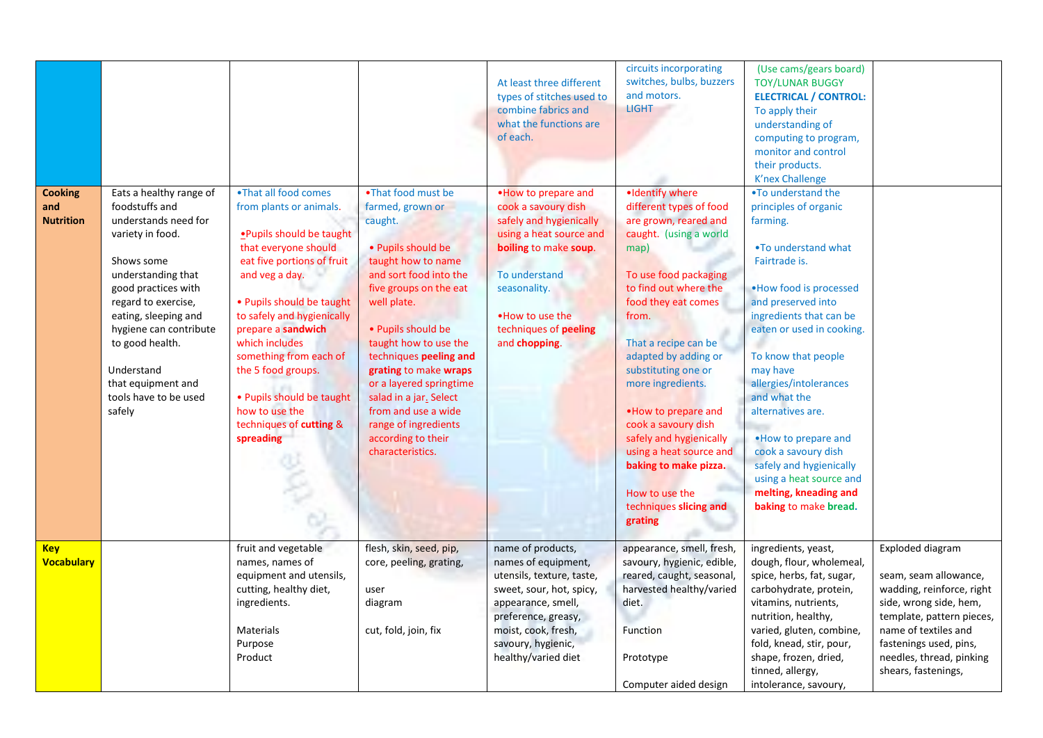|                                           |                                                                                                                                                                                                                                                                                                                     |                                                                                                                                                                                                                                                                                                                                                                                                |                                                                                                                                                                                                                                                                                                                                                                                                                  | At least three different<br>types of stitches used to<br>combine fabrics and<br>what the functions are<br>of each.                                                                                                        | circuits incorporating<br>switches, bulbs, buzzers<br>and motors.<br><b>LIGHT</b>                                                                                                                                                                                                                                                                                                                                                                                        | (Use cams/gears board)<br><b>TOY/LUNAR BUGGY</b><br><b>ELECTRICAL / CONTROL:</b><br>To apply their<br>understanding of<br>computing to program,<br>monitor and control<br>their products.<br><b>K'nex Challenge</b>                                                                                                                                                                                                                                               |                                                                                                                                                                                                                                    |
|-------------------------------------------|---------------------------------------------------------------------------------------------------------------------------------------------------------------------------------------------------------------------------------------------------------------------------------------------------------------------|------------------------------------------------------------------------------------------------------------------------------------------------------------------------------------------------------------------------------------------------------------------------------------------------------------------------------------------------------------------------------------------------|------------------------------------------------------------------------------------------------------------------------------------------------------------------------------------------------------------------------------------------------------------------------------------------------------------------------------------------------------------------------------------------------------------------|---------------------------------------------------------------------------------------------------------------------------------------------------------------------------------------------------------------------------|--------------------------------------------------------------------------------------------------------------------------------------------------------------------------------------------------------------------------------------------------------------------------------------------------------------------------------------------------------------------------------------------------------------------------------------------------------------------------|-------------------------------------------------------------------------------------------------------------------------------------------------------------------------------------------------------------------------------------------------------------------------------------------------------------------------------------------------------------------------------------------------------------------------------------------------------------------|------------------------------------------------------------------------------------------------------------------------------------------------------------------------------------------------------------------------------------|
| <b>Cooking</b><br>and<br><b>Nutrition</b> | Eats a healthy range of<br>foodstuffs and<br>understands need for<br>variety in food.<br>Shows some<br>understanding that<br>good practices with<br>regard to exercise,<br>eating, sleeping and<br>hygiene can contribute<br>to good health.<br>Understand<br>that equipment and<br>tools have to be used<br>safely | •That all food comes<br>from plants or animals.<br>· Pupils should be taught<br>that everyone should<br>eat five portions of fruit<br>and veg a day.<br>• Pupils should be taught<br>to safely and hygienically<br>prepare a sandwich<br>which includes<br>something from each of<br>the 5 food groups.<br>• Pupils should be taught<br>how to use the<br>techniques of cutting &<br>spreading | •That food must be<br>farmed, grown or<br>caught.<br>· Pupils should be<br>taught how to name<br>and sort food into the<br>five groups on the eat<br>well plate.<br>· Pupils should be<br>taught how to use the<br>techniques peeling and<br>grating to make wraps<br>or a layered springtime<br>salad in a jar. Select<br>from and use a wide<br>range of ingredients<br>according to their<br>characteristics. | . How to prepare and<br>cook a savoury dish<br>safely and hygienically<br>using a heat source and<br>boiling to make soup.<br>To understand<br>seasonality.<br>. How to use the<br>techniques of peeling<br>and chopping. | ·Identify where<br>different types of food<br>are grown, reared and<br>caught. (using a world<br>map)<br>To use food packaging<br>to find out where the<br>food they eat comes<br>from.<br>That a recipe can be<br>adapted by adding or<br>substituting one or<br>more ingredients.<br>. How to prepare and<br>cook a savoury dish<br>safely and hygienically<br>using a heat source and<br>baking to make pizza.<br>How to use the<br>techniques slicing and<br>grating | .To understand the<br>principles of organic<br>farming.<br>.To understand what<br>Fairtrade is.<br>. How food is processed<br>and preserved into<br>ingredients that can be<br>eaten or used in cooking.<br>To know that people<br>may have<br>allergies/intolerances<br>and what the<br>alternatives are.<br>• How to prepare and<br>cook a savoury dish<br>safely and hygienically<br>using a heat source and<br>melting, kneading and<br>baking to make bread. |                                                                                                                                                                                                                                    |
| <b>Key</b><br><b>Vocabulary</b>           |                                                                                                                                                                                                                                                                                                                     | fruit and vegetable<br>names, names of<br>equipment and utensils,<br>cutting, healthy diet,<br>ingredients.<br>Materials<br>Purpose<br>Product                                                                                                                                                                                                                                                 | flesh, skin, seed, pip,<br>core, peeling, grating,<br>user<br>diagram<br>cut, fold, join, fix                                                                                                                                                                                                                                                                                                                    | name of products,<br>names of equipment,<br>utensils, texture, taste,<br>sweet, sour, hot, spicy,<br>appearance, smell,<br>preference, greasy,<br>moist, cook, fresh,<br>savoury, hygienic,<br>healthy/varied diet        | appearance, smell, fresh,<br>savoury, hygienic, edible,<br>reared, caught, seasonal,<br>harvested healthy/varied<br>diet.<br>Function<br>Prototype<br>Computer aided design                                                                                                                                                                                                                                                                                              | ingredients, yeast,<br>dough, flour, wholemeal,<br>spice, herbs, fat, sugar,<br>carbohydrate, protein,<br>vitamins, nutrients,<br>nutrition, healthy,<br>varied, gluten, combine,<br>fold, knead, stir, pour,<br>shape, frozen, dried,<br>tinned, allergy,<br>intolerance, savoury,                                                                                                                                                                               | Exploded diagram<br>seam, seam allowance,<br>wadding, reinforce, right<br>side, wrong side, hem,<br>template, pattern pieces,<br>name of textiles and<br>fastenings used, pins,<br>needles, thread, pinking<br>shears, fastenings, |